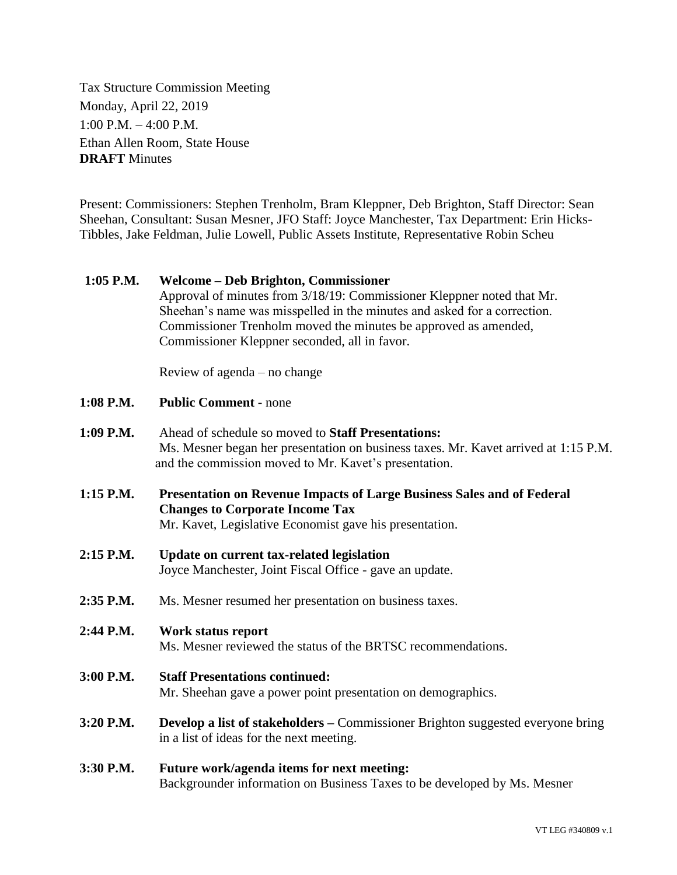Tax Structure Commission Meeting Monday, April 22, 2019 1:00 P.M. – 4:00 P.M. Ethan Allen Room, State House **DRAFT** Minutes

Present: Commissioners: Stephen Trenholm, Bram Kleppner, Deb Brighton, Staff Director: Sean Sheehan, Consultant: Susan Mesner, JFO Staff: Joyce Manchester, Tax Department: Erin Hicks-Tibbles, Jake Feldman, Julie Lowell, Public Assets Institute, Representative Robin Scheu

## **1:05 P.M. Welcome – Deb Brighton, Commissioner**

Approval of minutes from 3/18/19: Commissioner Kleppner noted that Mr. Sheehan's name was misspelled in the minutes and asked for a correction. Commissioner Trenholm moved the minutes be approved as amended, Commissioner Kleppner seconded, all in favor.

Review of agenda – no change

- **1:08 P.M. Public Comment -** none
- **1:09 P.M.** Ahead of schedule so moved to **Staff Presentations:** Ms. Mesner began her presentation on business taxes. Mr. Kavet arrived at 1:15 P.M. and the commission moved to Mr. Kavet's presentation.
- **1:15 P.M. Presentation on Revenue Impacts of Large Business Sales and of Federal Changes to Corporate Income Tax** Mr. Kavet, Legislative Economist gave his presentation.
- **2:15 P.M. Update on current tax-related legislation** Joyce Manchester, Joint Fiscal Office - gave an update.
- **2:35 P.M.** Ms. Mesner resumed her presentation on business taxes.

## **2:44 P.M. Work status report** Ms. Mesner reviewed the status of the BRTSC recommendations.

- **3:00 P.M. Staff Presentations continued:** Mr. Sheehan gave a power point presentation on demographics.
- **3:20 P.M. Develop a list of stakeholders –** Commissioner Brighton suggested everyone bring in a list of ideas for the next meeting.

## **3:30 P.M. Future work/agenda items for next meeting:** Backgrounder information on Business Taxes to be developed by Ms. Mesner